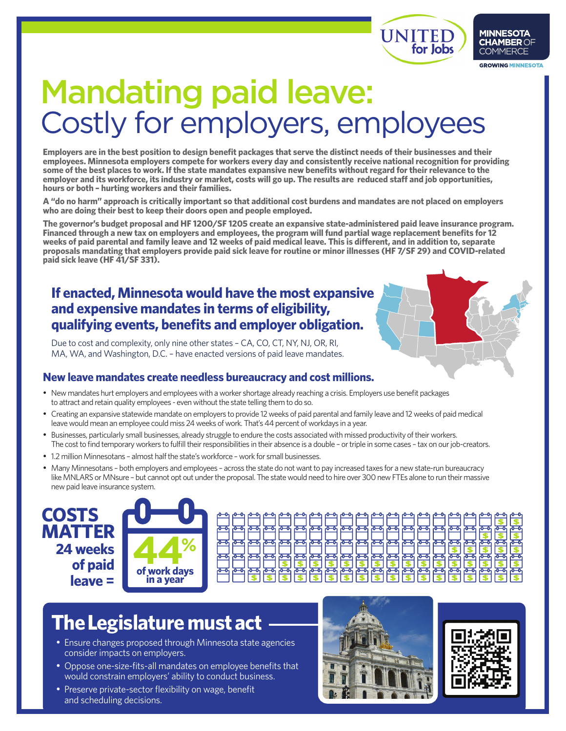



## Mandating paid leave: Costly for employers, employees

**Employers are in the best position to design benefit packages that serve the distinct needs of their businesses and their employees. Minnesota employers compete for workers every day and consistently receive national recognition for providing some of the best places to work. If the state mandates expansive new benefits without regard for their relevance to the employer and its workforce, its industry or market, costs will go up. The results are reduced staff and job opportunities, hours or both – hurting workers and their families.** 

**A "do no harm" approach is critically important so that additional cost burdens and mandates are not placed on employers who are doing their best to keep their doors open and people employed.**

**The governor's budget proposal and HF 1200/SF 1205 create an expansive state-administered paid leave insurance program. Financed through a new tax on employers and employees, the program will fund partial wage replacement benefits for 12 weeks of paid parental and family leave and 12 weeks of paid medical leave. This is different, and in addition to, separate proposals mandating that employers provide paid sick leave for routine or minor illnesses (HF 7/SF 29) and COVID-related paid sick leave (HF 41/SF 331).**

## **If enacted, Minnesota would have the most expansive and expensive mandates in terms of eligibility, qualifying events, benefits and employer obligation.**

Due to cost and complexity, only nine other states – CA, CO, CT, NY, NJ, OR, RI, MA, WA, and Washington, D.C. – have enacted versions of paid leave mandates.

## **New leave mandates create needless bureaucracy and cost millions.**

- New mandates hurt employers and employees with a worker shortage already reaching a crisis. Employers use benefit packages to attract and retain quality employees - even without the state telling them to do so.
- • Creating an expansive statewide mandate on employers to provide 12 weeks of paid parental and family leave and 12 weeks of paid medical leave would mean an employee could miss 24 weeks of work. That's 44 percent of workdays in a year.
- • Businesses, particularly small businesses, already struggle to endure the costs associated with missed productivity of their workers. The cost to find temporary workers to fulfill their responsibilities in their absence is a double – or triple in some cases – tax on our job-creators.
- 1.2 million Minnesotans almost half the state's workforce work for small businesses.
- Many Minnesotans both employers and employees across the state do not want to pay increased taxes for a new state-run bureaucracy like MNLARS or MNsure – but cannot opt out under the proposal. The state would need to hire over 300 new FTEs alone to run their massive new paid leave insurance system.





## **The Legislature must act**

- Ensure changes proposed through Minnesota state agencies consider impacts on employers.
- Oppose one-size-fits-all mandates on employee benefits that would constrain employers' ability to conduct business.
- Preserve private-sector flexibility on wage, benefit and scheduling decisions.